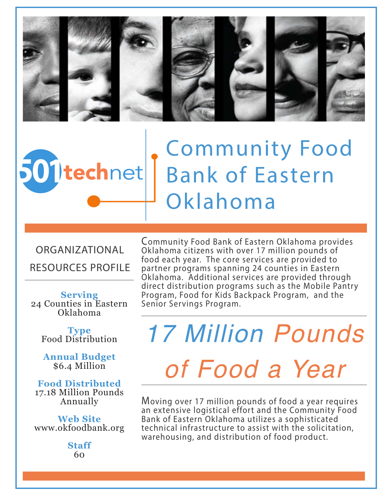

## Community Food 501 technet Bank of Eastern Oklahoma

ORGANIZATIONAL RESOURCES PROFILE

**Serving** 24 Counties in Eastern Oklahoma

> **Type** Food Distribution

**Annual Budget** \$6.4 Million

**Food Distributed** 17.18 Million Pounds Annually

**Web Site** www.okfoodbank.org

> **Staff** 60

Community Food Bank of Eastern Oklahoma provides Oklahoma citizens with over 17 million pounds of food each year. The core services are provided to partner programs spanning 24 counties in Eastern Oklahoma. Additional services are provided through direct distribution programs such as the Mobile Pantry Program, Food for Kids Backpack Program, and the Senior Servings Program.

# *17 Million Pounds of Food a Year*

Moving over 17 million pounds of food a year requires an extensive logistical effort and the Community Food Bank of Eastern Oklahoma utilizes a sophisticated technical infrastructure to assist with the solicitation, warehousing, and distribution of food product.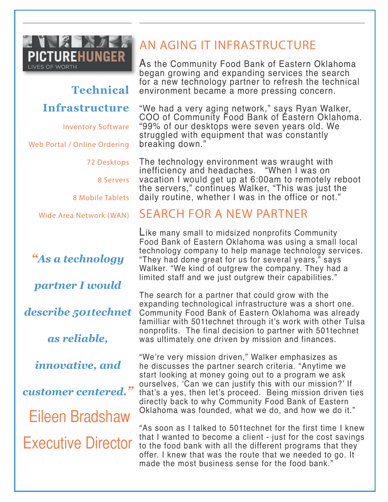

### **Technical**

#### **Infrastructure**

Inventory Software

Web Portal / Online Ordering

72 Desktops

8 Servers

8 Mobile Tablets

Wide Area Network (WAN)

*"As a technology* 

#### *partner I would*

*describe 501technet* 

*as reliable,* 

*innovative, and* 

#### *customer centered."*

Eileen Bradshaw

Executive Director

## AN AGING IT INFRASTRUCTURE

As the Community Food Bank of Eastern Oklahoma began growing and expanding services the search for a new technology partner to refresh the technical environment became a more pressing concern.

"We had a very aging network," says Ryan Walker, COO of Community Food Bank of Eastern Oklahoma. "99% of our desktops were seven years old. We struggled with equipment that was constantly breaking down."

The technology environment was wraught with inefficiency and headaches. "When I was on vacation I would get up at 6:00am to remotely reboot the servers," continues Walker, "This was just the daily routine, whether I was in the office or not."

#### SEARCH FOR A NEW PARTNER

Like many small to midsized nonprofits Community Food Bank of Eastern Oklahoma was using a small local technology company to help manage technology services. "They had done great for us for several years," says Walker. "We kind of outgrew the company. They had a limited staff and we just outgrew their capabilities."

The search for a partner that could grow with the expanding technological infrastructure was a short one. Community Food Bank of Eastern Oklahoma was already familliar with 501technet through it's work with other Tulsa nonprofits. The final decision to partner with 501technet was ultimately one driven by mission and finances.

"We're very mission driven," Walker emphasizes as he discusses the partner search criteria. "Anytime we start looking at money going out to a program we ask ourselves, 'Can we can justify this with our mission?' If that's a yes, then let's proceed. Being mission driven ties directly back to why Community Food Bank of Eastern Oklahoma was founded, what we do, and how we do it."

"As soon as I talked to 501technet for the first time I knew that I wanted to become a client - just for the cost savings to the food bank with all the different programs that they offer. I knew that was the route that we needed to go. It made the most business sense for the food bank."